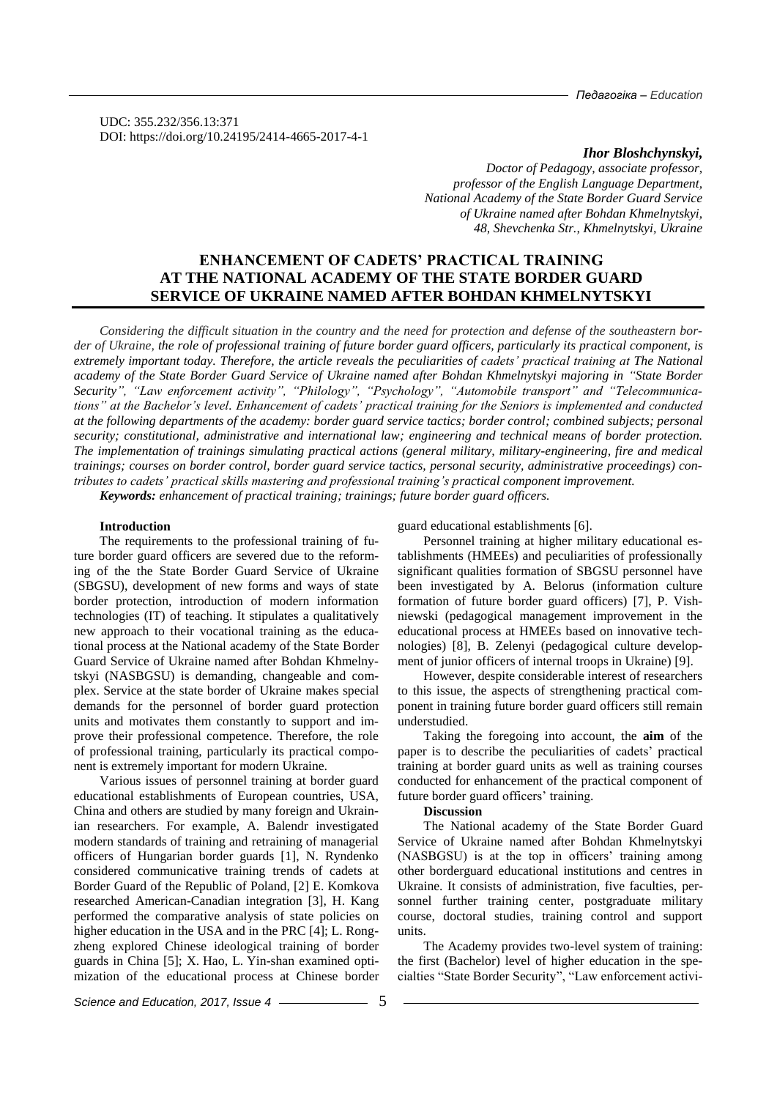*Педагогіка – Education*

UDC: 355.232/356.13:371 DOI: https://doi.org/10.24195/2414-4665-2017-4-1

#### *Ihor Bloshchynskyi,*

*Doctor of Pedagogy, associate professor, professor of the English Language Department, National Academy of the State Border Guard Service of Ukraine named after Bohdan Khmelnytskyi, 48, Shevchenka Str., Khmelnytskyi, Ukraine*

# **ENHANCEMENT OF CADETS' PRACTICAL TRAINING AT THE NATIONAL ACADEMY OF THE STATE BORDER GUARD SERVICE OF UKRAINE NAMED AFTER BOHDAN KHMELNYTSKYI**

*Considering the difficult situation in the country and the need for protection and defense of the southeastern border of Ukraine, the role of professional training of future border guard officers, particularly its practical component, is extremely important today. Therefore, the article reveals the peculiarities of cadets' practical training at The National academy of the State Border Guard Service of Ukraine named after Bohdan Khmelnytskyi majoring in "State Border Security", "Law enforcement activity", "Philology", "Psychology", "Automobile transport" and "Telecommunications" at the Bachelor's level. Enhancement of cadets' practical training for the Seniors is implemented and conducted at the following departments of the academy: border guard service tactics; border control; combined subjects; personal security; constitutional, administrative and international law; engineering and technical means of border protection. The implementation of trainings simulating practical actions (general military, military-engineering, fire and medical trainings; courses on border control, border guard service tactics, personal security, administrative proceedings) contributes to cadets' practical skills mastering and professional training's practical component improvement. Keywords: enhancement of practical training; trainings; future border guard officers.*

#### **Introduction**

The requirements to the professional training of future border guard officers are severed due to the reforming of the the State Border Guard Service of Ukraine (SBGSU), development of new forms and ways of state border protection, introduction of modern information technologies (IT) of teaching. It stipulates a qualitatively new approach to their vocational training as the educational process at the National academy of the State Border Guard Service of Ukraine named after Bohdan Khmelnytskyi (NASBGSU) is demanding, changeable and complex. Service at the state border of Ukraine makes special demands for the personnel of border guard protection units and motivates them constantly to support and improve their professional competence. Therefore, the role of professional training, particularly its practical component is extremely important for modern Ukraine.

Various issues of personnel training at border guard educational establishments of European countries, USA, China and others are studied by many foreign and Ukrainian researchers. For example, A. Balendr investigated modern standards of training and retraining of managerial officers of Hungarian border guards [1], N. Ryndenko considered communicative training trends of cadets at Border Guard of the Republic of Poland, [2] E. Komkova researched American-Canadian integration [3], H. Kang performed the comparative analysis of state policies on higher education in the USA and in the PRC [4]; L. Rongzheng explored Chinese ideological training of border guards in China [5]; X. Hao, L. Yin-shan examined optimization of the educational process at Chinese border guard educational establishments [6].

Personnel training at higher military educational establishments (HMEEs) and peculiarities of professionally significant qualities formation of SBGSU personnel have been investigated by A. Belorus (information culture formation of future border guard officers) [7], P. Vishniewski (pedagogical management improvement in the educational process at HMEEs based on innovative technologies) [8], B. Zelenyi (pedagogical culture development of junior officers of internal troops in Ukraine) [9].

However, despite considerable interest of researchers to this issue, the aspects of strengthening practical component in training future border guard officers still remain understudied.

Taking the foregoing into account, the **aim** of the paper is to describe the peculiarities of cadets' practical training at border guard units as well as training courses conducted for enhancement of the practical component of future border guard officers' training.

#### **Discussion**

The National academy of the State Border Guard Service of Ukraine named after Bohdan Khmelnytskyi (NASBGSU) is at the top in officers' training among other borderguard educational institutions and centres in Ukraine. It consists of administration, five faculties, personnel further training center, postgraduate military course, doctoral studies, training control and support units.

The Academy provides two-level system of training: the first (Bachelor) level of higher education in the specialties "State Border Security", "Law enforcement activi-

*Science and Education, 2017, Issue 4* —————————5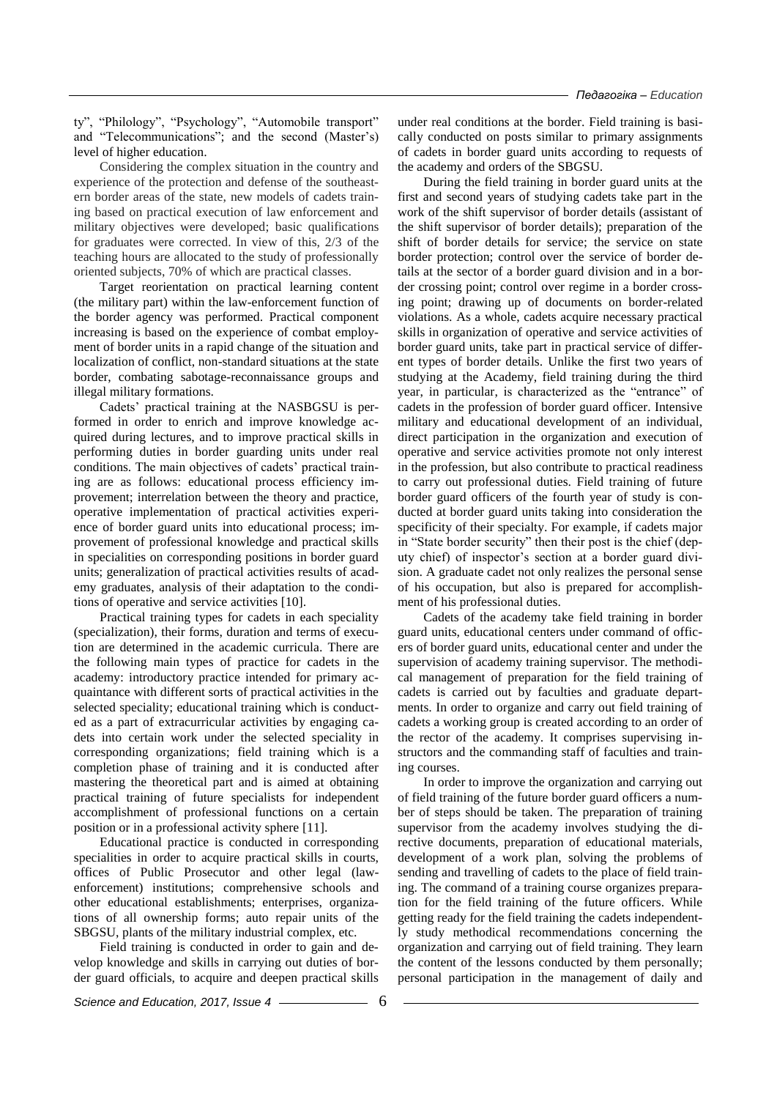ty", "Philology", "Psychology", "Automobile transport" and "Telecommunications"; and the second (Master's) level of higher education.

Considering the complex situation in the country and experience of the protection and defense of the southeastern border areas of the state, new models of cadets training based on practical execution of law enforcement and military objectives were developed; basic qualifications for graduates were corrected. In view of this, 2/3 of the teaching hours are allocated to the study of professionally oriented subjects, 70% of which are practical classes.

Target reorientation on practical learning content (the military part) within the law-enforcement function of the border agency was performed. Practical component increasing is based on the experience of combat employment of border units in a rapid change of the situation and localization of conflict, non-standard situations at the state border, combating sabotage-reconnaissance groups and illegal military formations.

Cadets' practical training at the NASBGSU is performed in order to enrich and improve knowledge acquired during lectures, and to improve practical skills in performing duties in border guarding units under real conditions. The main objectives of cadets' practical training are as follows: educational process efficiency improvement; interrelation between the theory and practice, operative implementation of practical activities experience of border guard units into educational process; improvement of professional knowledge and practical skills in specialities on corresponding positions in border guard units; generalization of practical activities results of academy graduates, analysis of their adaptation to the conditions of operative and service activities [10].

Practical training types for cadets in each speciality (specialization), their forms, duration and terms of execution are determined in the academic curricula. There are the following main types of practice for cadets in the academy: introductory practice intended for primary acquaintance with different sorts of practical activities in the selected speciality; educational training which is conducted as a part of extracurricular activities by engaging cadets into certain work under the selected speciality in corresponding organizations; field training which is a completion phase of training and it is conducted after mastering the theoretical part and is aimed at obtaining practical training of future specialists for independent accomplishment of professional functions on a certain position or in a professional activity sphere [11].

Educational practice is conducted in corresponding specialities in order to acquire practical skills in courts, offices of Public Prosecutor and other legal (lawenforcement) institutions; comprehensive schools and other educational establishments; enterprises, organizations of all ownership forms; auto repair units of the SBGSU, plants of the military industrial complex, etc.

Field training is conducted in order to gain and develop knowledge and skills in carrying out duties of border guard officials, to acquire and deepen practical skills under real conditions at the border. Field training is basically conducted on posts similar to primary assignments of cadets in border guard units according to requests of the academy and orders of the SBGSU.

During the field training in border guard units at the first and second years of studying cadets take part in the work of the shift supervisor of border details (assistant of the shift supervisor of border details); preparation of the shift of border details for service; the service on state border protection; control over the service of border details at the sector of a border guard division and in a border crossing point; control over regime in a border crossing point; drawing up of documents on border-related violations. As a whole, cadets acquire necessary practical skills in organization of operative and service activities of border guard units, take part in practical service of different types of border details. Unlike the first two years of studying at the Academy, field training during the third year, in particular, is characterized as the "entrance" of cadets in the profession of border guard officer. Intensive military and educational development of an individual, direct participation in the organization and execution of operative and service activities promote not only interest in the profession, but also contribute to practical readiness to carry out professional duties. Field training of future border guard officers of the fourth year of study is conducted at border guard units taking into consideration the specificity of their specialty. For example, if cadets major in "State border security" then their post is the chief (deputy chief) of inspector's section at a border guard division. A graduate cadet not only realizes the personal sense of his occupation, but also is prepared for accomplishment of his professional duties.

Cadets of the academy take field training in border guard units, educational centers under command of officers of border guard units, educational center and under the supervision of academy training supervisor. The methodical management of preparation for the field training of cadets is carried out by faculties and graduate departments. In order to organize and carry out field training of cadets a working group is created according to an order of the rector of the academy. It comprises supervising instructors and the commanding staff of faculties and training courses.

In order to improve the organization and carrying out of field training of the future border guard officers a number of steps should be taken. The preparation of training supervisor from the academy involves studying the directive documents, preparation of educational materials, development of a work plan, solving the problems of sending and travelling of cadets to the place of field training. The command of a training course organizes preparation for the field training of the future officers. While getting ready for the field training the cadets independently study methodical recommendations concerning the organization and carrying out of field training. They learn the content of the lessons conducted by them personally; personal participation in the management of daily and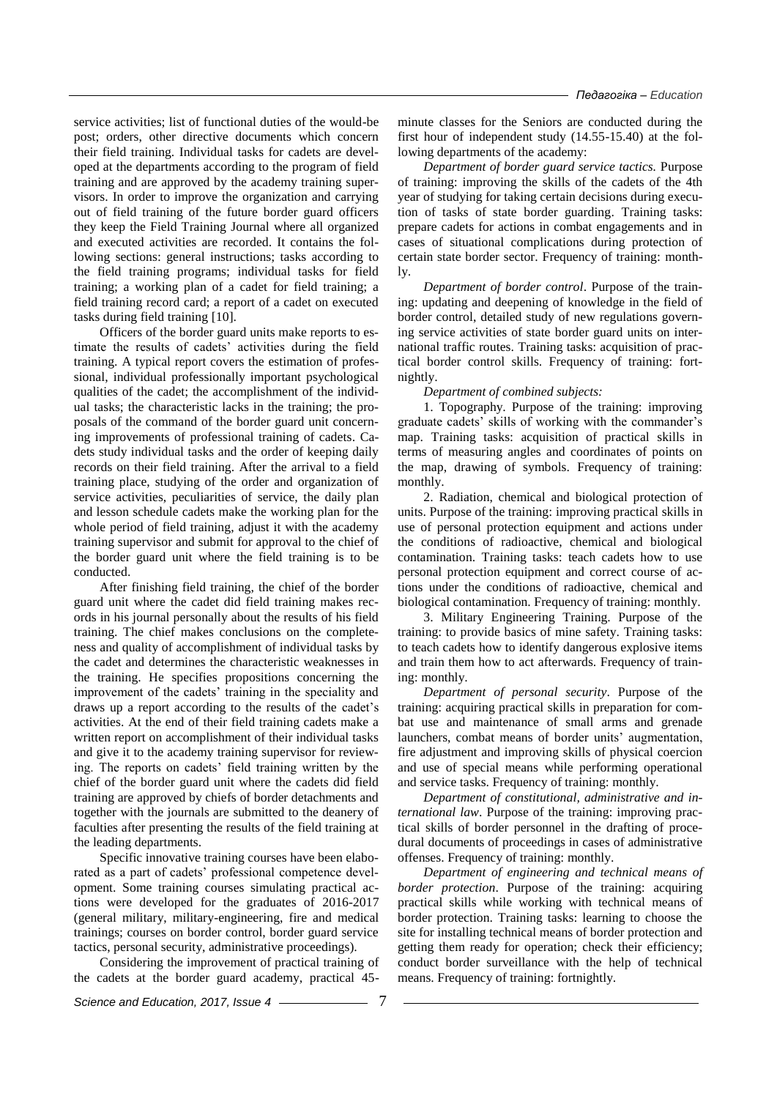service activities; list of functional duties of the would-be post; orders, other directive documents which concern their field training. Individual tasks for cadets are developed at the departments according to the program of field training and are approved by the academy training supervisors. In order to improve the organization and carrying out of field training of the future border guard officers they keep the Field Training Journal where all organized and executed activities are recorded. It contains the following sections: general instructions; tasks according to the field training programs; individual tasks for field training; a working plan of a cadet for field training; a field training record card; a report of a cadet on executed tasks during field training [10].

Officers of the border guard units make reports to estimate the results of cadets' activities during the field training. A typical report covers the estimation of professional, individual professionally important psychological qualities of the cadet; the accomplishment of the individual tasks; the characteristic lacks in the training; the proposals of the command of the border guard unit concerning improvements of professional training of cadets. Cadets study individual tasks and the order of keeping daily records on their field training. After the arrival to a field training place, studying of the order and organization of service activities, peculiarities of service, the daily plan and lesson schedule cadets make the working plan for the whole period of field training, adjust it with the academy training supervisor and submit for approval to the chief of the border guard unit where the field training is to be conducted.

After finishing field training, the chief of the border guard unit where the cadet did field training makes records in his journal personally about the results of his field training. The chief makes conclusions on the completeness and quality of accomplishment of individual tasks by the cadet and determines the characteristic weaknesses in the training. He specifies propositions concerning the improvement of the cadets' training in the speciality and draws up a report according to the results of the cadet's activities. At the end of their field training cadets make a written report on accomplishment of their individual tasks and give it to the academy training supervisor for reviewing. The reports on cadets' field training written by the chief of the border guard unit where the cadets did field training are approved by chiefs of border detachments and together with the journals are submitted to the deanery of faculties after presenting the results of the field training at the leading departments.

Specific innovative training courses have been elaborated as a part of cadets' professional competence development. Some training courses simulating practical actions were developed for the graduates of 2016-2017 (general military, military-engineering, fire and medical trainings; courses on border control, border guard service tactics, personal security, administrative proceedings).

Considering the improvement of practical training of the cadets at the border guard academy, practical 45minute classes for the Seniors are conducted during the first hour of independent study (14.55-15.40) at the following departments of the academy:

*Department of border guard service tactics.* Purpose of training: improving the skills of the cadets of the 4th year of studying for taking certain decisions during execution of tasks of state border guarding. Training tasks: prepare cadets for actions in combat engagements and in cases of situational complications during protection of certain state border sector. Frequency of training: monthly.

*Department of border control*. Purpose of the training: updating and deepening of knowledge in the field of border control, detailed study of new regulations governing service activities of state border guard units on international traffic routes. Training tasks: acquisition of practical border control skills. Frequency of training: fortnightly.

*Department of combined subjects:*

1. Topography. Purpose of the training: improving graduate cadets' skills of working with the commander's map. Training tasks: acquisition of practical skills in terms of measuring angles and coordinates of points on the map, drawing of symbols. Frequency of training: monthly.

2. Radiation, chemical and biological protection of units. Purpose of the training: improving practical skills in use of personal protection equipment and actions under the conditions of radioactive, chemical and biological contamination. Training tasks: teach cadets how to use personal protection equipment and correct course of actions under the conditions of radioactive, chemical and biological contamination. Frequency of training: monthly.

3. Military Engineering Training. Purpose of the training: to provide basics of mine safety. Training tasks: to teach cadets how to identify dangerous explosive items and train them how to act afterwards. Frequency of training: monthly.

*Department of personal security*. Purpose of the training: acquiring practical skills in preparation for combat use and maintenance of small arms and grenade launchers, combat means of border units' augmentation, fire adjustment and improving skills of physical coercion and use of special means while performing operational and service tasks. Frequency of training: monthly.

*Department of constitutional, administrative and international law*. Purpose of the training: improving practical skills of border personnel in the drafting of procedural documents of proceedings in cases of administrative offenses. Frequency of training: monthly.

*Department of engineering and technical means of border protection*. Purpose of the training: acquiring practical skills while working with technical means of border protection. Training tasks: learning to choose the site for installing technical means of border protection and getting them ready for operation; check their efficiency; conduct border surveillance with the help of technical means. Frequency of training: fortnightly.

*Science and Education, 2017, Issue 4* 7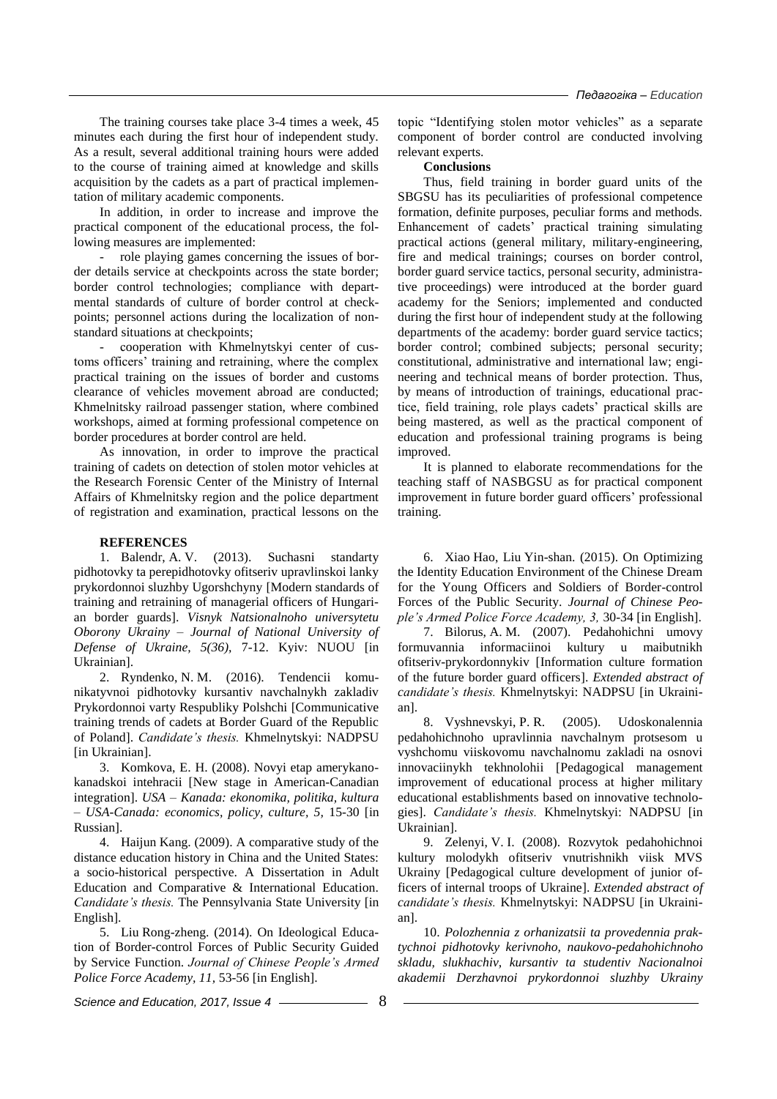The training courses take place 3-4 times a week, 45 minutes each during the first hour of independent study. As a result, several additional training hours were added to the course of training aimed at knowledge and skills acquisition by the cadets as a part of practical implementation of military academic components.

In addition, in order to increase and improve the practical component of the educational process, the following measures are implemented:

- role playing games concerning the issues of border details service at checkpoints across the state border; border control technologies; compliance with departmental standards of culture of border control at checkpoints; personnel actions during the localization of nonstandard situations at checkpoints;

- сooperation with Khmelnytskyi center of customs officers' training and retraining, where the complex practical training on the issues of border and customs clearance of vehicles movement abroad are conducted; Khmelnitsky railroad passenger station, where combined workshops, aimed at forming professional competence on border procedures at border control are held.

As innovation, in order to improve the practical training of cadets on detection of stolen motor vehicles at the Research Forensic Center of the Ministry of Internal Affairs of Khmelnitsky region and the police department of registration and examination, practical lessons on the

### **REFERENCES**

1. Balendr, A. V. (2013). Suchasni standarty pidhotovky ta perepidhotovky ofitseriv upravlinskoi lanky prykordonnoi sluzhby Ugorshchyny [Modern standards of training and retraining of managerial officers of Hungarian border guards]. *Visnyk Natsionalnoho universytetu Oborony Ukrainy – Journal of National University of Defense of Ukraine, 5(36),* 7-12. Kyiv: NUOU [in Ukrainian].

2. Ryndenko, N. M. (2016). Tendencii komunikatyvnoi pidhotovky kursantiv navchalnykh zakladiv Prykordonnoi varty Respubliky Polshchi [Communicative training trends of cadets at Border Guard of the Republic of Poland]. *Candidate's thesis.* Khmelnytskyi: NADPSU [in Ukrainian].

3. Komkova, E. H. (2008). Novyi etap amerykanokanadskoi intehracii [New stage in American-Canadian integration]. *USA – Kanada: ekonomika, politika, kultura – USA-Canada: economics, policy, culture, 5,* 15-30 [in Russian].

4. Haijun Kang. (2009). A comparative study of the distance education history in China and the United States: a socio-historical perspective. A Dissertation in Adult Education and Comparative & International Education. *Candidate's thesis.* The Pennsylvania State University [in English].

5. Liu Rong-zheng. (2014). On Ideological Education of Border-control Forces of Public Security Guided by Service Function. *Journal of Chinese People's Armed Police Force Academy, 11,* 53-56 [in English].

topic "Identifying stolen motor vehicles" as a separate component of border control are conducted involving relevant experts.

#### **Conclusions**

Thus, field training in border guard units of the SBGSU has its peculiarities of professional competence formation, definite purposes, peculiar forms and methods. Enhancement of cadets' practical training simulating practical actions (general military, military-engineering, fire and medical trainings; courses on border control, border guard service tactics, personal security, administrative proceedings) were introduced at the border guard academy for the Seniors; implemented and conducted during the first hour of independent study at the following departments of the academy: border guard service tactics; border control; combined subjects; personal security; constitutional, administrative and international law; engineering and technical means of border protection. Thus, by means of introduction of trainings, educational practice, field training, role plays cadets' practical skills are being mastered, as well as the practical component of education and professional training programs is being improved.

It is planned to elaborate recommendations for the teaching staff of NASBGSU as for practical component improvement in future border guard officers' professional training.

6. Xiao Hao, Liu Yin-shan. (2015). On Optimizing the Identity Education Environment of the Chinese Dream for the Young Officers and Soldiers of Border-control Forces of the Public Security. *Journal of Chinese People's Armed Police Force Academy, 3,* 30-34 [in English].

7. Bilorus, A. M. (2007). Pedahohichni umovy formuvannia informaciinoi kultury u maibutnikh ofitseriv-prykordonnykiv [Information culture formation of the future border guard officers]. *Extended abstract of candidate's thesis.* Khmelnytskyi: NADPSU [in Ukrainian].

8. Vyshnevskyi, P. R. (2005). Udoskonalennia pedahohichnoho upravlinnia navchalnym protsesom u vyshchomu viiskovomu navchalnomu zakladi na osnovi innovaciinykh tekhnolohii [Pedagogical management improvement of educational process at higher military educational establishments based on innovative technologies]. *Candidate's thesis.* Khmelnytskyi: NADPSU [in Ukrainian].

9. Zelenyi, V. I. (2008). Rozvytok pedahohichnoi kultury molodykh ofitseriv vnutrishnikh viisk MVS Ukrainy [Pedagogical culture development of junior officers of internal troops of Ukraine]. *Extended abstract of candidate's thesis.* Khmelnytskyi: NADPSU [in Ukrainian].

10. *Polozhennia z orhanizatsii ta provedennia praktychnoi pidhotovky kerivnoho, naukovo-pedahohichnoho skladu, slukhachiv, kursantiv ta studentiv Nacionalnoi akademii Derzhavnoi prykordonnoi sluzhby Ukrainy* 

*Science and Education, 2017, Issue 4* 2008 2018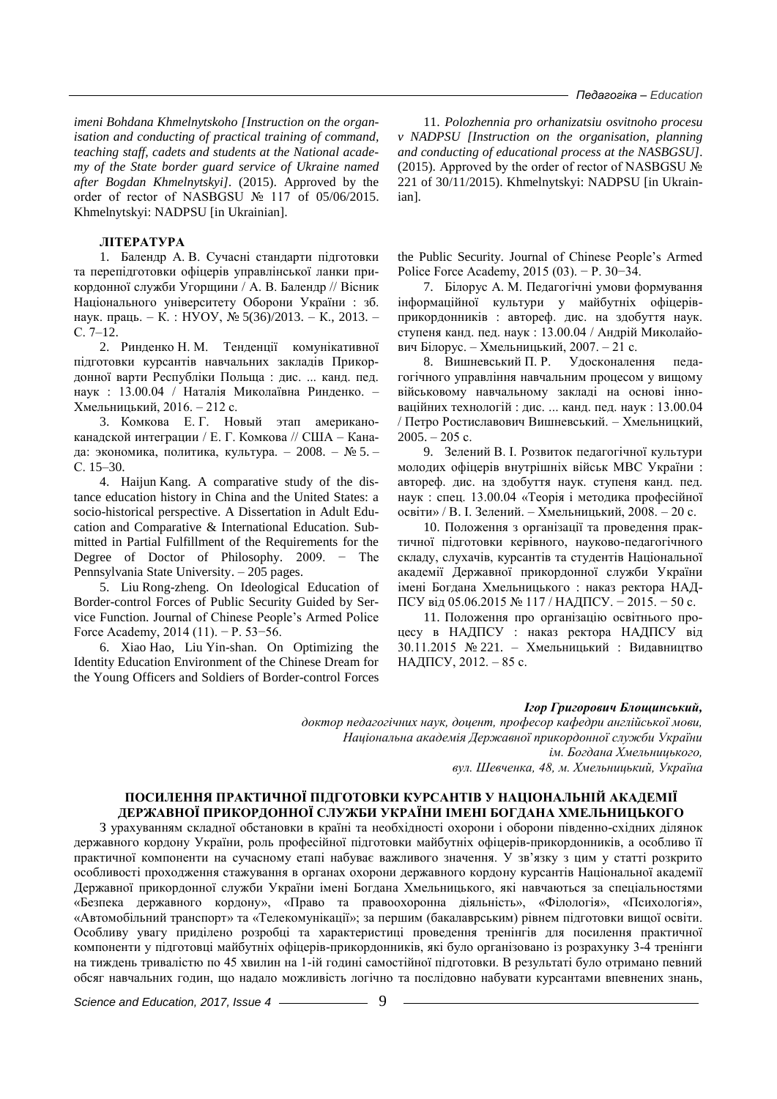*imeni Bohdana Khmelnytskoho [Instruction on the organisation and conducting of practical training of command, teaching staff, cadets and students at the National academy of the State border guard service of Ukraine named after Bogdan Khmelnytskyi].* (2015). Approved by the order of rector of NASBGSU № 117 of 05/06/2015. Khmelnytskyi: NADPSU [in Ukrainian].

### **ЛІТЕРАТУРА**

1. Балендр А. В. Сучасні стандарти підготовки та перепідготовки офіцерів управлінської ланки прикордонної служби Угорщини / А. В. Балендр // Вісник Національного університету Оборони України : зб. наук. праць. – К. : НУОУ, № 5(36)/2013. – К., 2013. – С. 7–12.

2. Ринденко Н. М. Тенденції комунікативної підготовки курсантів навчальних закладів Прикордонної варти Республіки Польща : дис. ... канд. пед. наук : 13.00.04 / Наталія Миколаївна Ринденко. – Хмельницький, 2016. – 212 с.

3. Комкова Е. Г. Новый этап американоканадской интеграции / Е. Г. Комкова // США – Канада: экономика, политика, культура. – 2008. – № 5. – С. 15–30.

4. Haijun Kang. A comparative study of the distance education history in China and the United States: a socio-historical perspective. A Dissertation in Adult Education and Comparative & International Education. Submitted in Partial Fulfillment of the Requirements for the Degree of Doctor of Philosophy. 2009. − The Pennsylvania State University. – 205 pages.

5. Liu Rong-zheng. On Ideological Education of Border-control Forces of Public Security Guided by Service Function. Journal of Chinese People's Armed Police Force Academy, 2014 (11). − P. 53−56.

6. Xiao Hao, Liu Yin-shan. On Optimizing the Identity Education Environment of the Chinese Dream for the Young Officers and Soldiers of Border-control Forces

11. *Polozhennia pro orhanizatsiu osvitnoho procesu v NADPSU [Instruction on the organisation, planning and conducting of educational process at the NASBGSU].* (2015). Approved by the order of rector of NASBGSU  $\mathcal{N}_2$ 221 of 30/11/2015). Khmelnytskyi: NADPSU [in Ukrainian].

the Public Security. Journal of Chinese People's Armed Police Force Academy, 2015 (03). − P. 30−34.

7. Білорус А. М. Педагогічні умови формування інформаційної культури у майбутніх офіцерівприкордонників : автореф. дис. на здобуття наук. ступеня канд. пед. наук : 13.00.04 / Андрій Миколайович Білорус. – Хмельницький, 2007. – 21 с.

8. Вишневський П. Р. Удосконалення педагогічного управління навчальним процесом у вищому військовому навчальному закладі на основі інноваційних технологій : дис. ... канд. пед. наук : 13.00.04 / Петро Ростиславович Вишневський. – Хмельницкий,  $2005. - 205$  c.

9. Зелений В. І. Розвиток педагогічної культури молодих офіцерів внутрішніх військ МВС України : автореф. дис. на здобуття наук. ступеня канд. пед. наук : спец. 13.00.04 «Теорія і методика професійної освіти» / В. І. Зелений. – Хмельницький, 2008. – 20 с.

10. Положення з організації та проведення практичної підготовки керівного, науково-педагогічного складу, слухачів, курсантів та студентів Національної академії Державної прикордонної служби України імені Богдана Хмельницького : наказ ректора НАД-ПСУ від 05.06.2015 № 117 / НАДПСУ. − 2015. − 50 с.

11. Положення про організацію освітнього процесу в НАДПСУ : наказ ректора НАДПСУ від 30.11.2015 № 221. – Хмельницький : Видавництво НАДПСУ, 2012. – 85 с.

## *Ігор Григорович Блощинський,*

*доктор педагогічних наук, доцент, професор кафедри англійської мови, Національна академія Державної прикордонної служби України ім. Богдана Хмельницького, вул. Шевченка, 48, м. Хмельницький, Україна*

## **ПОСИЛЕННЯ ПРАКТИЧНОЇ ПІДГОТОВКИ КУРСАНТІВ У НАЦІОНАЛЬНІЙ АКАДЕМІЇ ДЕРЖАВНОЇ ПРИКОРДОННОЇ СЛУЖБИ УКРАЇНИ ІМЕНІ БОГДАНА ХМЕЛЬНИЦЬКОГО**

З урахуванням складної обстановки в країні та необхідності охорони і оборони південно-східних ділянок державного кордону України, роль професійної підготовки майбутніх офіцерів-прикордонників, а особливо її практичної компоненти на сучасному етапі набуває важливого значення. У зв'язку з цим у статті розкрито особливості проходження стажування в органах охорони державного кордону курсантів Національної академії Державної прикордонної служби України імені Богдана Хмельницького, які навчаються за спеціальностями «Безпека державного кордону», «Право та правоохоронна діяльність», «Філологія», «Психологія», «Автомобільний транспорт» та «Телекомунікації»; за першим (бакалаврським) рівнем підготовки вищої освіти. Особливу увагу приділено розробці та характеристиці проведення тренінгів для посилення практичної компоненти у підготовці майбутніх офіцерів-прикордонників, які було організовано із розрахунку 3-4 тренінги на тиждень тривалістю по 45 хвилин на 1-ій годині самостійної підготовки. В результаті було отримано певний обсяг навчальних годин, що надало можливість логічно та послідовно набувати курсантами впевнених знань,

*Science and Education, 2017, Issue 4* – <u>9</u>